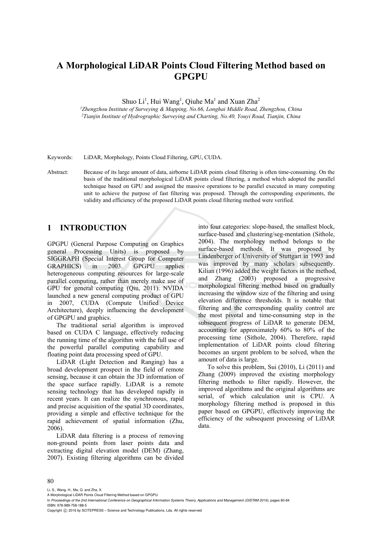# **A Morphological LiDAR Points Cloud Filtering Method based on GPGPU**

Shuo Li<sup>1</sup>, Hui Wang<sup>1</sup>, Qiuhe Ma<sup>1</sup> and Xuan Zha<sup>2</sup>

*1 Zhengzhou Institute of Surveying & Mapping, No.66, Longhai Middle Road, Zhengzhou, China 2 Tianjin Institute of Hydrographic Surveying and Charting, No.40, Youyi Road, Tianjin, China* 

Keywords: LiDAR, Morphology, Points Cloud Filtering, GPU, CUDA.

Abstract: Because of its large amount of data, airborne LiDAR points cloud filtering is often time-consuming. On the basis of the traditional morphological LiDAR points cloud filtering, a method which adopted the parallel technique based on GPU and assigned the massive operations to be parallel executed in many computing unit to achieve the purpose of fast filtering was proposed. Through the corresponding experiments, the validity and efficiency of the proposed LiDAR points cloud filtering method were verified.

# **1 INTRODUCTION**

GPGPU (General Purpose Computing on Graphics general Processing Units) is proposed by SIGGRAPH (Special Interest Group for Computer GRAPHICS) in 2003. GPGPU applies heterogeneous computing resources for large-scale parallel computing, rather than merely make use of GPU for general computing (Qiu, 2011). NVIDA launched a new general computing product of GPU in 2007, CUDA (Compute Unified Device Architecture), deeply influencing the development of GPGPU and graphics.

The traditional serial algorithm is improved based on CUDA C language, effectively reducing the running time of the algorithm with the full use of the powerful parallel computing capability and floating point data processing speed of GPU.

LiDAR (Light Detection and Ranging) has a broad development prospect in the field of remote sensing, because it can obtain the 3D information of the space surface rapidly. LiDAR is a remote sensing technology that has developed rapidly in recent years. It can realize the synchronous, rapid and precise acquisition of the spatial 3D coordinates, providing a simple and effective technique for the rapid achievement of spatial information (Zhu, 2006).

LiDAR data filtering is a process of removing non-ground points from laser points data and extracting digital elevation model (DEM) (Zhang, 2007). Existing filtering algorithms can be divided

into four categories: slope-based, the smallest block, surface-based and clustering/seg-mentation (Sithole, 2004). The morphology method belongs to the surface-based methods. It was proposed by Lindenberger of University of Stuttgart in 1993 and was improved by many scholars subsequently. Kilian (1996) added the weight factors in the method, and Zhang (2003) proposed a progressive morphological filtering method based on gradually increasing the window size of the filtering and using elevation difference thresholds. It is notable that filtering and the corresponding quality control are the most pivotal and time-consuming step in the subsequent progress of LiDAR to generate DEM, accounting for approximately 60% to 80% of the processing time (Sithole, 2004). Therefore, rapid implementation of LiDAR points cloud filtering becomes an urgent problem to be solved, when the amount of data is large.

To solve this problem, Sui (2010), Li (2011) and Zhang (2009) improved the existing morphology filtering methods to filter rapidly. However, the improved algorithms and the original algorithms are serial, of which calculation unit is CPU. A morphology filtering method is proposed in this paper based on GPGPU, effectively improving the efficiency of the subsequent processing of LiDAR data.

#### 80

Li, S., Wang, H., Ma, Q. and Zha, X.

In *Proceedings of the 2nd International Conference on Geographical Information Systems Theory, Applications and Management (GISTAM 2016)*, pages 80-84 ISBN: 978-989-758-188-5

Copyright (C) 2016 by SCITEPRESS - Science and Technology Publications, Lda. All rights reserved

A Morphological LiDAR Points Cloud Filtering Method based on GPGPU.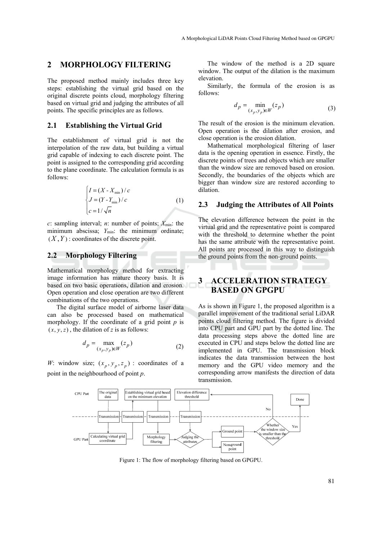# **2 MORPHOLOGY FILTERING**

The proposed method mainly includes three key steps: establishing the virtual grid based on the original discrete points cloud, morphology filtering based on virtual grid and judging the attributes of all points. The specific principles are as follows.

### **2.1 Establishing the Virtual Grid**

The establishment of virtual grid is not the interpolation of the raw data, but building a virtual grid capable of indexing to each discrete point. The point is assigned to the corresponding grid according to the plane coordinate. The calculation formula is as follows:

$$
\begin{cases}\nI = (X - X_{\min})/c \\
J = (Y - Y_{\min})/c \\
c = 1/\sqrt{n}\n\end{cases}
$$
\n(1)

 $c$ : sampling interval;  $n$ : number of points;  $X_{min}$ : the minimum abscissa; *Y*<sub>min</sub>: the minimum ordinate;  $(X, Y)$ : coordinates of the discrete point.

#### **2.2 Morphology Filtering**

Mathematical morphology method for extracting image information has mature theory basis. It is based on two basic operations, dilation and erosion. Open operation and close operation are two different combinations of the two operations.

The digital surface model of airborne laser data can also be processed based on mathematical morphology. If the coordinate of a grid point *p* is  $(x, y, z)$ , the dilation of *z* is as follows:

$$
d_p = \max_{(x_p, y_p) \in W} (z_p)
$$
 (2)

*W*: window size;  $(x_p, y_p, z_p)$ : coordinates of a point in the neighbourhood of point *p*.

The window of the method is a 2D square window. The output of the dilation is the maximum elevation.

Similarly, the formula of the erosion is as follows:

$$
d_p = \min_{(x_p, y_p) \in W} (z_p)
$$
 (3)

The result of the erosion is the minimum elevation. Open operation is the dilation after erosion, and close operation is the erosion dilation.

Mathematical morphological filtering of laser data is the opening operation in essence. Firstly, the discrete points of trees and objects which are smaller than the window size are removed based on erosion. Secondly, the boundaries of the objects which are bigger than window size are restored according to dilation.

#### **2.3 Judging the Attributes of All Points**

The elevation difference between the point in the virtual grid and the representative point is compared with the threshold to determine whether the point has the same attribute with the representative point. All points are processed in this way to distinguish the ground points from the non-ground points.

# **3 ACCELERATION STRATEGY BASED ON GPGPU**

As is shown in Figure 1, the proposed algorithm is a parallel improvement of the traditional serial LiDAR points cloud filtering method. The figure is divided into CPU part and GPU part by the dotted line. The data processing steps above the dotted line are executed in CPU and steps below the dotted line are implemented in GPU. The transmission block indicates the data transmission between the host memory and the GPU video memory and the corresponding arrow manifests the direction of data transmission.



Figure 1: The flow of morphology filtering based on GPGPU.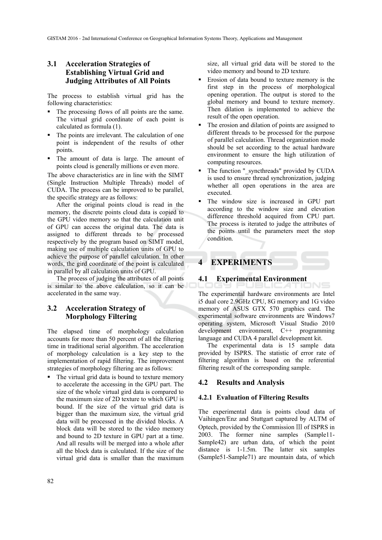# **3.1 Acceleration Strategies of Establishing Virtual Grid and Judging Attributes of All Points**

The process to establish virtual grid has the following characteristics:

- The processing flows of all points are the same. The virtual grid coordinate of each point is calculated as formula (1).
- The points are irrelevant. The calculation of one point is independent of the results of other points.
- The amount of data is large. The amount of points cloud is generally millions or even more.

The above characteristics are in line with the SIMT (Single Instruction Multiple Threads) model of CUDA. The process can be improved to be parallel, the specific strategy are as follows:

After the original points cloud is read in the memory, the discrete points cloud data is copied to the GPU video memory so that the calculation unit of GPU can access the original data. The data is assigned to different threads to be processed respectively by the program based on SIMT model, making use of multiple calculation units of GPU to achieve the purpose of parallel calculation. In other words, the gird coordinate of the point is calculated in parallel by all calculation units of GPU.

The process of judging the attributes of all points is similar to the above calculation, so it can be accelerated in the same way.

### **3.2 Acceleration Strategy of Morphology Filtering**

The elapsed time of morphology calculation accounts for more than 50 percent of all the filtering time in traditional serial algorithm. The acceleration of morphology calculation is a key step to the implementation of rapid filtering. The improvement strategies of morphology filtering are as follows:

• The virtual grid data is bound to texture memory to accelerate the accessing in the GPU part. The size of the whole virtual gird data is compared to the maximum size of 2D texture to which GPU is bound. If the size of the virtual grid data is bigger than the maximum size, the virtual grid data will be processed in the divided blocks. A block data will be stored to the video memory and bound to 2D texture in GPU part at a time. And all results will be merged into a whole after all the block data is calculated. If the size of the virtual grid data is smaller than the maximum size, all virtual grid data will be stored to the video memory and bound to 2D texture.

- Erosion of data bound to texture memory is the first step in the process of morphological opening operation. The output is stored to the global memory and bound to texture memory. Then dilation is implemented to achieve the result of the open operation.
- The erosion and dilation of points are assigned to different threads to be processed for the purpose of parallel calculation. Thread organization mode should be set according to the actual hardware environment to ensure the high utilization of computing resources.
- The function " syncthreads" provided by CUDA is used to ensure thread synchronization, judging whether all open operations in the area are executed.
- The window size is increased in GPU part according to the window size and elevation difference threshold acquired from CPU part. The process is iterated to judge the attributes of the points until the parameters meet the stop condition.

# **4 EXPERIMENTS**

#### **4.1 Experimental Environment**

The experimental hardware environments are Intel i5 dual core 2.9GHz CPU, 8G memory and 1G video memory of ASUS GTX 570 graphics card. The experimental software environments are Windows7 operating system, Microsoft Visual Studio 2010 development environment, C++ programming language and CUDA 4 parallel development kit.

The experimental data is 15 sample data provided by ISPRS. The statistic of error rate of filtering algorithm is based on the referential filtering result of the corresponding sample.

#### **4.2 Results and Analysis**

#### **4.2.1 Evaluation of Filtering Results**

The experimental data is points cloud data of Vaihingen/Enz and Stuttgart captured by ALTM of Optech, provided by the Commission Ⅲ of ISPRS in 2003. The former nine samples (Sample11- Sample42) are urban data, of which the point distance is 1-1.5m. The latter six samples (Sample51-Sample71) are mountain data, of which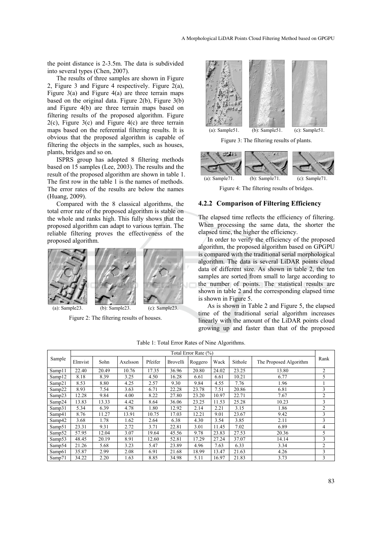the point distance is 2-3.5m. The data is subdivided into several types (Chen, 2007).

The results of three samples are shown in Figure 2, Figure 3 and Figure 4 respectively. Figure 2(a), Figure  $3(a)$  and Figure  $4(a)$  are three terrain maps based on the original data. Figure 2(b), Figure 3(b) and Figure 4(b) are three terrain maps based on filtering results of the proposed algorithm. Figure  $2(c)$ , Figure  $3(c)$  and Figure  $4(c)$  are three terrain maps based on the referential filtering results. It is obvious that the proposed algorithm is capable of filtering the objects in the samples, such as houses, plants, bridges and so on.

ISPRS group has adopted 8 filtering methods based on 15 samples (Lee, 2003). The results and the result of the proposed algorithm are shown in table 1. The first row in the table 1 is the names of methods. The error rates of the results are below the names (Huang, 2009).

Compared with the 8 classical algorithms, the total error rate of the proposed algorithm is stable on the whole and ranks high. This fully shows that the proposed algorithm can adapt to various terrain. The reliable filtering proves the effectiveness of the proposed algorithm.







(a): Sample23. (b): Sample23. (c): Sample23.

Figure 2: The filtering results of houses.



Figure 3: The filtering results of plants.



Figure 4: The filtering results of bridges.

#### **4.2.2 Comparison of Filtering Efficiency**

The elapsed time reflects the efficiency of filtering. When processing the same data, the shorter the elapsed time, the higher the efficiency.

In order to verify the efficiency of the proposed algorithm, the proposed algorithm based on GPGPU is compared with the traditional serial morphological algorithm. The data is several LiDAR points cloud data of different size. As shown in table 2, the ten samples are sorted from small to large according to the number of points. The statistical results are shown in table 2 and the corresponding elapsed time is shown in Figure 5.

As is shown in Table 2 and Figure 5, the elapsed time of the traditional serial algorithm increases linearly with the amount of the LiDAR points cloud growing up and faster than that of the proposed

Table 1: Total Error Rates of Nine Algorithms.

| Sample             | Total Error Rate (%) |       |          |         |          |         |       |         |                        |                |
|--------------------|----------------------|-------|----------|---------|----------|---------|-------|---------|------------------------|----------------|
|                    | Elmvist              | Sohn  | Axelsson | Pfeifer | Brovelli | Roggero | Wack  | Sithole | The Proposed Algorithm | Rank           |
| Samp11             | 22.40                | 20.49 | 10.76    | 17.35   | 36.96    | 20.80   | 24.02 | 23.25   | 13.80                  | $\overline{2}$ |
| Samp12             | 8.18                 | 8.39  | 3.25     | 4.50    | 16.28    | 6.61    | 6.61  | 10.21   | 6.77                   | 5              |
| Samp21             | 8.53                 | 8.80  | 4.25     | 2.57    | 9.30     | 9.84    | 4.55  | 7.76    | 1.96                   |                |
| Samp22             | 8.93                 | 7.54  | 3.63     | 6.71    | 22.28    | 23.78   | 7.51  | 20.86   | 6.81                   | 3              |
| Samp23             | 12.28                | 9.84  | 4.00     | 8.22    | 27.80    | 23.20   | 10.97 | 22.71   | 7.67                   | $\overline{2}$ |
| Samp24             | 13.83                | 13.33 | 4.42     | 8.64    | 36.06    | 23.25   | 11.53 | 25.28   | 10.23                  | 3              |
| Samp31             | 5.34                 | 6.39  | 4.78     | 1.80    | 12.92    | 2.14    | 2.21  | 3.15    | 1.86                   | 2              |
| Samp41             | 8.76                 | 11.27 | 13.91    | 10.75   | 17.03    | 12.21   | 9.01  | 23.67   | 9.42                   | 3              |
| Samp42             | 3.68                 | 1.78  | 1.62     | 2.64    | 6.38     | 4.30    | 3.54  | 3.85    | 2.11                   | 3              |
| Samp51             | 23.31                | 9.31  | 2.72     | 3.71    | 22.81    | 3.01    | 11.45 | 7.02    | 6.89                   | 4              |
| Samp52             | 57.95                | 12.04 | 3.07     | 19.64   | 45.56    | 9.78    | 23.83 | 27.53   | 20.36                  | 5              |
| Samp53             | 48.45                | 20.19 | 8.91     | 12.60   | 52.81    | 17.29   | 27.24 | 37.07   | 14.14                  | 3              |
| Samp54             | 21.26                | 5.68  | 3.23     | 5.47    | 23.89    | 4.96    | 7.63  | 6.33    | 3.34                   | $\overline{2}$ |
| Samp <sub>61</sub> | 35.87                | 2.99  | 2.08     | 6.91    | 21.68    | 18.99   | 13.47 | 21.63   | 4.26                   | 3              |
| Samp71             | 34.22                | 2.20  | 1.63     | 8.85    | 34.98    | 5.11    | 16.97 | 21.83   | 3.73                   | 3              |